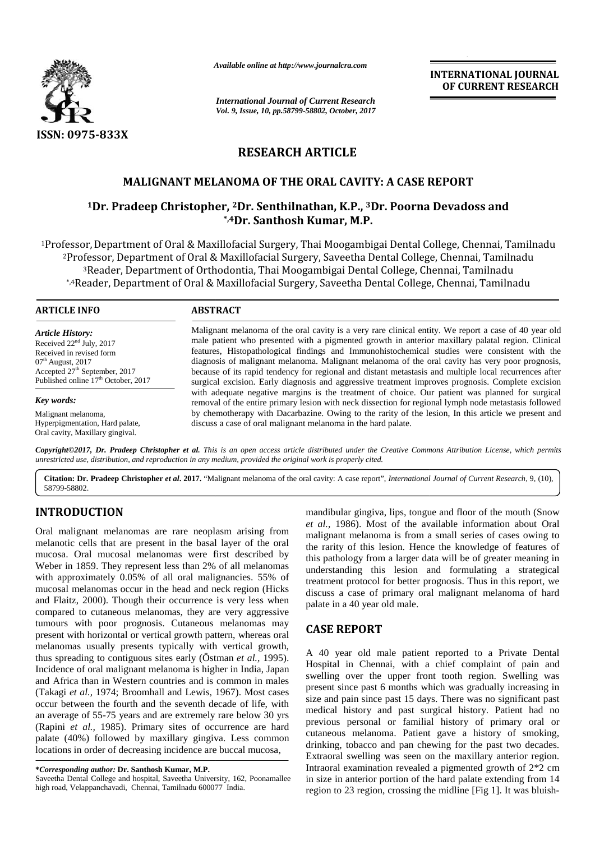

*Available online at http://www.journalcra.com*

*International Journal of Current Research Vol. 9, Issue, 10, pp.58799-58802, October, 2017* **INTERNATIONAL JOURNAL OF CURRENT RESEARCH**

# **RESEARCH ARTICLE**

## MALIGNANT MELANOMA OF THE ORAL CAVITY: A CASE REPORT

## **<sup>1</sup>Dr. Pradeep Christopher, <sup>2</sup>Dr. Senthilnathan, K.P., <sup>3</sup>Dr. Poorna Devadoss and 12K.P.,\*,4Dr. Santhosh Kumar, M.P.**

1Professor, Department of Oral & Maxillofacial Surgery, Thai Moogambigai Dental College, Chennai, Tamilnadu 2Professor, Department of Oral & Maxillofacial Surgery, Saveetha Dental College, Chennai, Tamilnadu <sup>3</sup>Reader, Department of Orthodontia, Thai Moogambigai Dental College, Chennai, Tamilnadu \*,4Reader, Department of Oral & Maxillofacial Surgery, Saveetha Dental College, Chennai, Tamilnadu

#### **ARTICLE INFO**

*Article History:* Received 22<sup>nd</sup> July, 2017 Received in revised form 07<sup>th</sup> August, 2017 Accepted 27 th September, 2017 Published online 17<sup>th</sup> October, 2017

*Key words:* Malignant melanoma,

Hyperpigmentation, Hard palate, Oral cavity, Maxillary gingival.

Malignant melanoma of the oral cavity is a very rare clinical entity. We report a case of 40 year old male patient who presented with a pigmented growth in anterior maxillary palatal region. Clinical features, Histopathological findings and Immunohistochemical studies were consistent with the diagnosis of malignant melanoma. Malignant melanoma of the oral cavity has very poor prognosis, because of its rapid tendency for regional and distant metastasis and multiple local recurrences after male patient who presented with a pigmented growth in anterior maxillary palatal region. Clinical features, Histopathological findings and Immunohistochemical studies were consistent with the diagnosis of malignant melanom with adequate negative margins is the treatment of choice. Our patient was planned for surgical removal of the entire primary lesion with neck dissection for regional lymph node metastasis followed by chemotherapy with Dacarbazine. Owing to the rarity of the lesion, In this article we present and discuss a case of oral malignant melanoma in the hard palate. with adequate negative margins is the treatment of choice. Our patient was planned for surgical<br>removal of the entire primary lesion with neck dissection for regional lymph node metastasis followed<br>by chemotherapy with Dac very poor prognosis,<br>pcal recurrences after<br>s. Complete excision<br>planned for surgical

**Copyright©2017, Dr. Pradeep Christopher et al.** This is an open access article distributed under the Creative Commons Attribution License, which permits<br>unrestricted use, distribution, and reproduction in any medium, prov *unrestricted use, distribution, and reproduction in any medium, provided the original work is properly cited.*

**Citation: Dr. Pradeep Christopher** *et al***. 2017.** "Malignant melanoma of the oral cavity: A case report", *International Journal of Current Research*, 9, (10), 58799-58802.

## **INTRODUCTION INTRODUCTION**

Oral malignant melanomas are rare neoplasm arising from Oral malignant melanomas are rare neoplasm arising from melanotic cells that are present in the basal layer of the oral mucosa. Oral mucosal melanomas were first described by mucosa. Oral mucosal melanomas were first described by this Weber in 1859. They represent less than 2% of all melanomas with approximately 0.05% of all oral malignancies. 55% of mucosal melanomas occur in the head and neck region (Hicks and Flaitz, 2000). Though their occurrence is very less when compared to cutaneous melanomas, they are very aggressive tumours with poor prognosis. Cutaneous melanomas may present with horizontal or vertical growth pattern, whereas oral melanomas usually presents typically with vertical growth, thus spreading to contiguous sites early (Östman *et al.,* 1995). Incidence of oral malignant melanoma is higher in India, Japan and Africa than in Western countries and is common in males (Takagi *et al.,* 1974; Broomhall and Lewis, 1967). Most cases occur between the fourth and the seventh decade of life, with an average of 55-75 years and are extremely rare below 30 yrs (Rapini *et al.,* 1985). Primary sites of occurrence are hard palate (40%) followed by maxillary gingiva. Less common locations in order of decreasing incidence are buccal mucosa, with approximately 0.05% of all oral malignancies. 55% of mucosal melanomas occur in the head and neck region (Hicks and Flaitz, 2000). Though their occurrence is very less when compared to cutaneous melanomas, they are v FRANCHAIR CONSULTER CONTRACT METALLICATION CONTRACT INTERNATIONAL DEPARTMENT INTO A CONTRACT INTERNATIONAL CONTRACT INTERNATIONAL CONTRACT INTERNATIONAL CONTRACT INTERNATIONAL CONTRACT INTERNATIONAL CONTRACT INTERNATIONAL Oral mucosal melanomas were first described by<br>
1859. They represent less than 2% of all melanomas<br>
coximately 0.05% of all oral malignancies. 55% of<br>
melanomas occur in the head and neck region (Hicks<br>
z, 2000). Though t

mandibular gingiva, lips, tongue and floor of the mouth (Snow *et al.,* 1986). Most of the available information about Oral malignant melanoma is from a small series of cases owing to the rarity of this lesion. Hence the knowledge of features of this pathology from a larger data will be of greater meaning in understanding this lesion and formulating a strategical treatment protocol for better prognosis. Thus in this report, we discuss a case of primary oral malignant melanoma of hard palate in a 40 year old male.

## **CASE REPORT**

A 40 year old male patient reported to a Private Dental Hospital in Chennai, with a chief complaint of pain and swelling over the upper front tooth region. Swelling was present since past 6 months which was gradually increasing in size and pain since past 15 days. There was no significant past medical history and past surgical history. Patient had no previous personal or familial history of primary oral or cutaneous melanoma. Patient gave a history of smoking, drinking, tobacco and pan chewing for the past two decades. Extraoral swelling was seen on the maxillary anterior region. Intraoral examination revealed a pigmented growth of 2\*2 cm in size in anterior portion of the hard palate extending from 14 region to 23 region, crossing the midline [Fig 1]. It was bluish-

**<sup>\*</sup>***Corresponding author:* **Dr. Santhosh Kumar, M.P. \****Corresponding* 

Saveetha Dental College and hospital, Saveetha University, 162, Poonamallee high road, Velappanchavadi, Chennai, Tamilnadu 600077 India.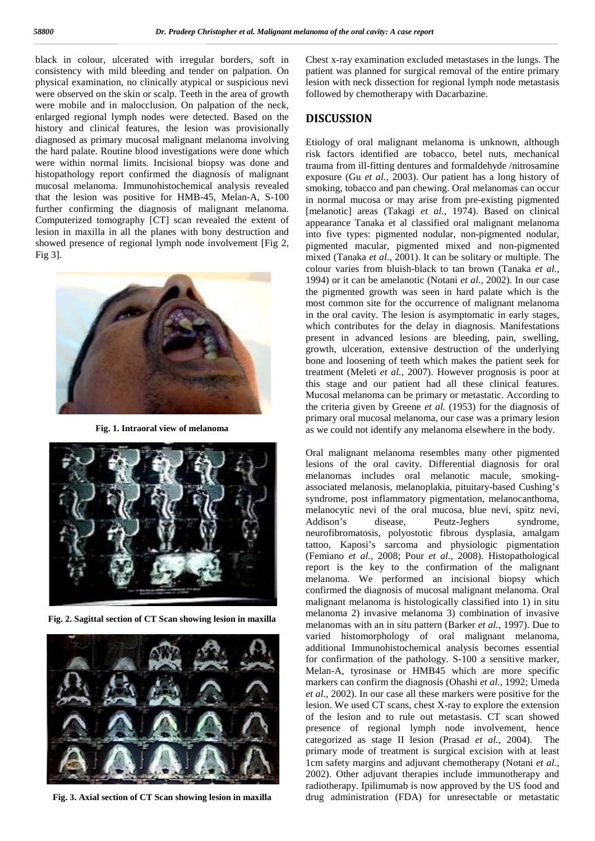black in colour, ulcerated with irregular borders, soft in consistency with mild bleeding and tender on palpation. On physical examination, no clinically atypical or suspicious nevi were observed on the skin or scalp. Teeth in the area of growth were mobile and in malocclusion. On palpation of the neck, enlarged regional lymph nodes were detected. Based on the history and clinical features, the lesion was provisionally diagnosed as primary mucosal malignant melanoma involving the hard palate. Routine blood investigations were done which were within normal limits. Incisional biopsy was done and histopathology report confirmed the diagnosis of malignant mucosal melanoma. Immunohistochemical analysis revealed that the lesion was positive for HMB-45, Melan-A, S-100 further confirming the diagnosis of malignant melanoma. Computerized tomography [CT] scan revealed the extent of lesion in maxilla in all the planes with bony destruction and showed presence of regional lymph node involvement [Fig 2, Fig 3].



**Fig. 1. Intraoral view of melanoma**



**Fig. 2. Sagittal section of CT Scan showing lesion in maxilla**



**Fig. 3. Axial section of CT Scan showing lesion in maxilla**

Chest x-ray examination excluded metastases in the lungs. The patient was planned for surgical removal of the entire primary lesion with neck dissection for regional lymph node metastasis followed by chemotherapy with Dacarbazine.

#### **DISCUSSION**

Etiology of oral malignant melanoma is unknown, although risk factors identified are tobacco, betel nuts, mechanical trauma from ill-fitting dentures and formaldehyde /nitrosamine exposure (Gu *et al.,* 2003). Our patient has a long history of smoking, tobacco and pan chewing. Oral melanomas can occur in normal mucosa or may arise from pre-existing pigmented [melanotic] areas (Takagi et al., 1974). Based on clinical appearance Tanaka et al classified oral malignant melanoma into five types: pigmented nodular, non-pigmented nodular, pigmented macular, pigmented mixed and non-pigmented mixed (Tanaka *et al.*, 2001). It can be solitary or multiple. The colour varies from bluish-black to tan brown (Tanaka *et al.,* 1994) or it can be amelanotic (Notani *et al.,* 2002). In our case the pigmented growth was seen in hard palate which is the most common site for the occurrence of malignant melanoma in the oral cavity. The lesion is asymptomatic in early stages, which contributes for the delay in diagnosis. Manifestations present in advanced lesions are bleeding, pain, swelling, growth, ulceration, extensive destruction of the underlying bone and loosening of teeth which makes the patient seek for treatment (Meleti *et al.,* 2007). However prognosis is poor at this stage and our patient had all these clinical features. Mucosal melanoma can be primary or metastatic. According to the criteria given by Greene *et al.* (1953) for the diagnosis of primary oral mucosal melanoma, our case was a primary lesion as we could not identify any melanoma elsewhere in the body.

Oral malignant melanoma resembles many other pigmented lesions of the oral cavity. Differential diagnosis for oral melanomas includes oral melanotic macule, smoking associated melanosis, melanoplakia, pituitary-based Cushing's syndrome, post inflammatory pigmentation, melanocanthoma, melanocytic nevi of the oral mucosa, blue nevi, spitz nevi, Addison's disease, Peutz-Jeghers syndrome, neurofibromatosis, polyostotic fibrous dysplasia, amalgam tattoo, Kaposi's sarcoma and physiologic pigmentation (Femiano *et al.,* 2008; Pour *et al.,* 2008). Histopathological report is the key to the confirmation of the malignant melanoma. We performed an incisional biopsy which confirmed the diagnosis of mucosal malignant melanoma. Oral malignant melanoma is histologically classified into 1) in situ melanoma 2) invasive melanoma 3) combination of invasive melanomas with an in situ pattern (Barker *et al.,* 1997). Due to varied histomorphology of oral malignant melanoma, additional Immunohistochemical analysis becomes essential for confirmation of the pathology. S-100 a sensitive marker, Melan-A, tyrosinase or HMB45 which are more specific markers can confirm the diagnosis (Ohashi *et al.,* 1992; Umeda *et al.,* 2002). In our case all these markers were positive for the lesion. We used CT scans, chest X-ray to explore the extension of the lesion and to rule out metastasis. CT scan showed presence of regional lymph node involvement, hence categorized as stage II lesion (Prasad *et al.,* 2004). The primary mode of treatment is surgical excision with at least 1cm safety margins and adjuvant chemotherapy (Notani *et al.,* 2002). Other adjuvant therapies include immunotherapy and radiotherapy. Ipilimumab is now approved by the US food and drug administration (FDA) for unresectable or metastatic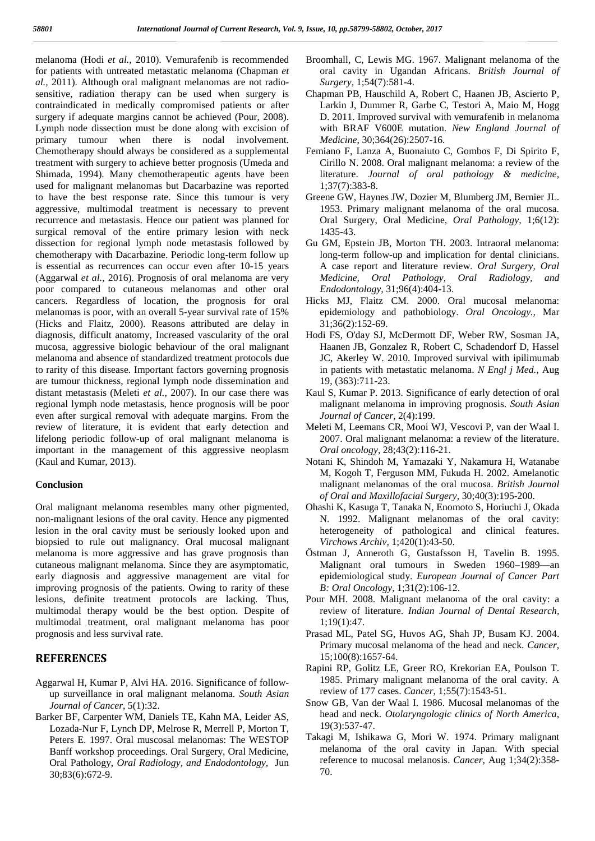melanoma (Hodi *et al.,* 2010). Vemurafenib is recommended for patients with untreated metastatic melanoma (Chapman *et al.,* 2011). Although oral malignant melanomas are not radio sensitive, radiation therapy can be used when surgery is contraindicated in medically compromised patients or after surgery if adequate margins cannot be achieved (Pour, 2008). Lymph node dissection must be done along with excision of primary tumour when there is nodal involvement. Chemotherapy should always be considered as a supplemental treatment with surgery to achieve better prognosis (Umeda and Shimada, 1994). Many chemotherapeutic agents have been used for malignant melanomas but Dacarbazine was reported to have the best response rate. Since this tumour is very aggressive, multimodal treatment is necessary to prevent recurrence and metastasis. Hence our patient was planned for surgical removal of the entire primary lesion with neck dissection for regional lymph node metastasis followed by chemotherapy with Dacarbazine. Periodic long-term follow up is essential as recurrences can occur even after 10-15 years (Aggarwal *et al.,* 2016). Prognosis of oral melanoma are very poor compared to cutaneous melanomas and other oral cancers. Regardless of location, the prognosis for oral melanomas is poor, with an overall 5-year survival rate of 15% (Hicks and Flaitz, 2000). Reasons attributed are delay in diagnosis, difficult anatomy, Increased vascularity of the oral mucosa, aggressive biologic behaviour of the oral malignant melanoma and absence of standardized treatment protocols due to rarity of this disease. Important factors governing prognosis are tumour thickness, regional lymph node dissemination and distant metastasis (Meleti *et al.,* 2007). In our case there was regional lymph node metastasis, hence prognosis will be poor even after surgical removal with adequate margins. From the review of literature, it is evident that early detection and lifelong periodic follow-up of oral malignant melanoma is important in the management of this aggressive neoplasm (Kaul and Kumar, 2013).

#### **Conclusion**

Oral malignant melanoma resembles many other pigmented, non-malignant lesions of the oral cavity. Hence any pigmented lesion in the oral cavity must be seriously looked upon and biopsied to rule out malignancy. Oral mucosal malignant melanoma is more aggressive and has grave prognosis than cutaneous malignant melanoma. Since they are asymptomatic, early diagnosis and aggressive management are vital for improving prognosis of the patients. Owing to rarity of these lesions, definite treatment protocols are lacking. Thus, multimodal therapy would be the best option. Despite of multimodal treatment, oral malignant melanoma has poor prognosis and less survival rate.

### **REFERENCES**

- Aggarwal H, Kumar P, Alvi HA. 2016. Significance of follow up surveillance in oral malignant melanoma. *South Asian Journal of Cancer,* 5(1):32.
- Barker BF, Carpenter WM, Daniels TE, Kahn MA, Leider AS, Lozada-Nur F, Lynch DP, Melrose R, Merrell P, Morton T, Peters E. 1997. Oral muscosal melanomas: The WESTOP Banff workshop proceedings. Oral Surgery, Oral Medicine, Oral Pathology, *Oral Radiology, and Endodontology,* Jun 30;83(6):672-9.
- Broomhall, C, Lewis MG. 1967. Malignant melanoma of the oral cavity in Ugandan Africans. *British Journal of Surgery,* 1;54(7):581-4.
- Chapman PB, Hauschild A, Robert C, Haanen JB, Ascierto P, Larkin J, Dummer R, Garbe C, Testori A, Maio M, Hogg D. 2011. Improved survival with vemurafenib in melanoma with BRAF V600E mutation. *New England Journal of Medicine,* 30;364(26):2507-16.
- Femiano F, Lanza A, Buonaiuto C, Gombos F, Di Spirito F, Cirillo N. 2008. Oral malignant melanoma: a review of the literature. *Journal of oral pathology & medicine,* 1;37(7):383-8.
- Greene GW, Haynes JW, Dozier M, Blumberg JM, Bernier JL. 1953. Primary malignant melanoma of the oral mucosa. Oral Surgery, Oral Medicine, *Oral Pathology,* 1;6(12): 1435-43.
- Gu GM, Epstein JB, Morton TH. 2003. Intraoral melanoma: long-term follow-up and implication for dental clinicians. A case report and literature review. *Oral Surgery, Oral Medicine, Oral Pathology, Oral Radiology, and Endodontology,* 31;96(4):404-13.
- Hicks MJ, Flaitz CM. 2000. Oral mucosal melanoma: epidemiology and pathobiology. *Oral Oncology.,* Mar 31;36(2):152-69.
- Hodi FS, O'day SJ, McDermott DF, Weber RW, Sosman JA, Haanen JB, Gonzalez R, Robert C, Schadendorf D, Hassel JC, Akerley W. 2010. Improved survival with ipilimumab in patients with metastatic melanoma. *N Engl j Med.,* Aug 19, (363):711-23.
- Kaul S, Kumar P. 2013. Significance of early detection of oral malignant melanoma in improving prognosis. *South Asian Journal of Cancer,* 2(4):199.
- Meleti M, Leemans CR, Mooi WJ, Vescovi P, van der Waal I. 2007. Oral malignant melanoma: a review of the literature. *Oral oncology,* 28;43(2):116-21.
- Notani K, Shindoh M, Yamazaki Y, Nakamura H, Watanabe M, Kogoh T, Ferguson MM, Fukuda H. 2002. Amelanotic malignant melanomas of the oral mucosa. *British Journal of Oral and Maxillofacial Surgery,* 30;40(3):195-200.
- Ohashi K, Kasuga T, Tanaka N, Enomoto S, Horiuchi J, Okada N. 1992. Malignant melanomas of the oral cavity: heterogeneity of pathological and clinical features. *Virchows Archiv,* 1;420(1):43-50.
- Östman J, Anneroth G, Gustafsson H, Tavelin B. 1995. Malignant oral tumours in Sweden 1960–1989—an epidemiological study. *European Journal of Cancer Part B: Oral Oncology,* 1;31(2):106-12.
- Pour MH. 2008. Malignant melanoma of the oral cavity: a review of literature. *Indian Journal of Dental Research,* 1;19(1):47.
- Prasad ML, Patel SG, Huvos AG, Shah JP, Busam KJ. 2004. Primary mucosal melanoma of the head and neck. *Cancer*, 15;100(8):1657-64.
- Rapini RP, Golitz LE, Greer RO, Krekorian EA, Poulson T. 1985. Primary malignant melanoma of the oral cavity. A review of 177 cases. *Cancer*, 1;55(7):1543-51.
- Snow GB, Van der Waal I. 1986. Mucosal melanomas of the head and neck. *Otolaryngologic clinics of North America*, 19(3):537-47.
- Takagi M, Ishikawa G, Mori W. 1974. Primary malignant melanoma of the oral cavity in Japan. With special reference to mucosal melanosis. *Cancer*, Aug 1;34(2):358- 70.